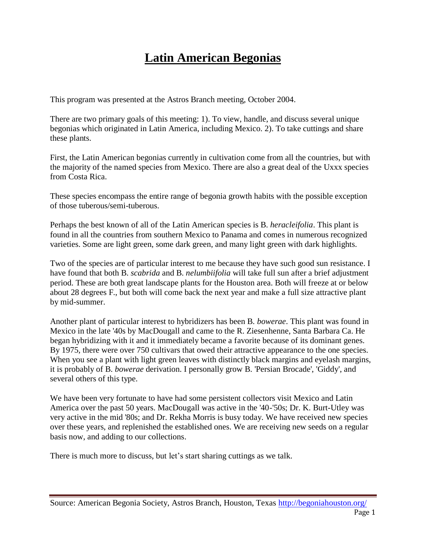## **Latin American Begonias**

This program was presented at the Astros Branch meeting, October 2004.

There are two primary goals of this meeting: 1). To view, handle, and discuss several unique begonias which originated in Latin America, including Mexico. 2). To take cuttings and share these plants.

First, the Latin American begonias currently in cultivation come from all the countries, but with the majority of the named species from Mexico. There are also a great deal of the Uxxx species from Costa Rica.

These species encompass the entire range of begonia growth habits with the possible exception of those tuberous/semi-tuberous.

Perhaps the best known of all of the Latin American species is B. *heracleifolia*. This plant is found in all the countries from southern Mexico to Panama and comes in numerous recognized varieties. Some are light green, some dark green, and many light green with dark highlights.

Two of the species are of particular interest to me because they have such good sun resistance. I have found that both B. *scabrida* and B. *nelumbiifolia* will take full sun after a brief adjustment period. These are both great landscape plants for the Houston area. Both will freeze at or below about 28 degrees F., but both will come back the next year and make a full size attractive plant by mid-summer.

Another plant of particular interest to hybridizers has been B. *bowerae*. This plant was found in Mexico in the late '40s by MacDougall and came to the R. Ziesenhenne, Santa Barbara Ca. He began hybridizing with it and it immediately became a favorite because of its dominant genes. By 1975, there were over 750 cultivars that owed their attractive appearance to the one species. When you see a plant with light green leaves with distinctly black margins and eyelash margins, it is probably of B. *bowerae* derivation. I personally grow B. 'Persian Brocade', 'Giddy', and several others of this type.

We have been very fortunate to have had some persistent collectors visit Mexico and Latin America over the past 50 years. MacDougall was active in the '40-'50s; Dr. K. Burt-Utley was very active in the mid '80s; and Dr. Rekha Morris is busy today. We have received new species over these years, and replenished the established ones. We are receiving new seeds on a regular basis now, and adding to our collections.

There is much more to discuss, but let's start sharing cuttings as we talk.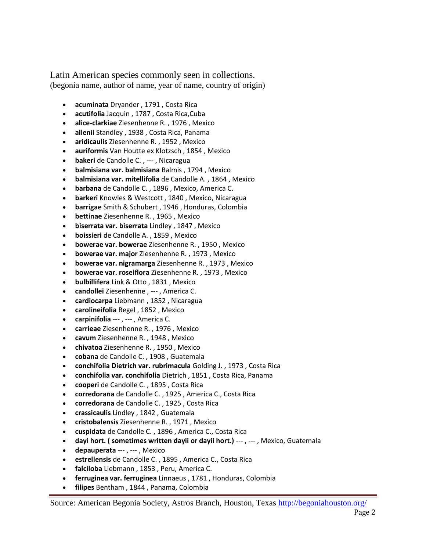Latin American species commonly seen in collections. (begonia name, author of name, year of name, country of origin)

- **acuminata** Dryander , 1791 , Costa Rica
- **acutifolia** Jacquin , 1787 , Costa Rica,Cuba
- **alice-clarkiae** Ziesenhenne R. , 1976 , Mexico
- **allenii** Standley , 1938 , Costa Rica, Panama
- **aridicaulis** Ziesenhenne R. , 1952 , Mexico
- **auriformis** Van Houtte ex Klotzsch , 1854 , Mexico
- **bakeri** de Candolle C. , --- , Nicaragua
- **balmisiana var. balmisiana** Balmis , 1794 , Mexico
- **balmisiana var. mitellifolia** de Candolle A. , 1864 , Mexico
- **barbana** de Candolle C. , 1896 , Mexico, America C.
- **barkeri** Knowles & Westcott , 1840 , Mexico, Nicaragua
- **barrigae** Smith & Schubert , 1946 , Honduras, Colombia
- **bettinae** Ziesenhenne R. , 1965 , Mexico
- **biserrata var. biserrata** Lindley , 1847 , Mexico
- **boissieri** de Candolle A. , 1859 , Mexico
- **bowerae var. bowerae** Ziesenhenne R. , 1950 , Mexico
- **bowerae var. major** Ziesenhenne R. , 1973 , Mexico
- **bowerae var. nigramarga** Ziesenhenne R. , 1973 , Mexico
- **bowerae var. roseiflora** Ziesenhenne R. , 1973 , Mexico
- **bulbillifera** Link & Otto , 1831 , Mexico
- **candollei** Ziesenhenne , --- , America C.
- **cardiocarpa** Liebmann , 1852 , Nicaragua
- **carolineifolia** Regel , 1852 , Mexico
- **carpinifolia** --- , --- , America C.
- **carrieae** Ziesenhenne R. , 1976 , Mexico
- **cavum** Ziesenhenne R. , 1948 , Mexico
- **chivatoa** Ziesenhenne R. , 1950 , Mexico
- **cobana** de Candolle C. , 1908 , Guatemala
- **conchifolia Dietrich var. rubrimacula** Golding J. , 1973 , Costa Rica
- **conchifolia var. conchifolia** Dietrich , 1851 , Costa Rica, Panama
- **cooperi** de Candolle C. , 1895 , Costa Rica
- **corredorana** de Candolle C. , 1925 , America C., Costa Rica
- **corredorana** de Candolle C. , 1925 , Costa Rica
- **crassicaulis** Lindley , 1842 , Guatemala
- **cristobalensis** Ziesenhenne R. , 1971 , Mexico
- **cuspidata** de Candolle C. , 1896 , America C., Costa Rica
- **dayi hort. ( sometimes written dayii or dayii hort.)** --- , --- , Mexico, Guatemala
- **depauperata** --- , --- , Mexico
- **estrellensis** de Candolle C. , 1895 , America C., Costa Rica
- **falciloba** Liebmann , 1853 , Peru, America C.
- **ferruginea var. ferruginea** Linnaeus , 1781 , Honduras, Colombia
- **filipes** Bentham , 1844 , Panama, Colombia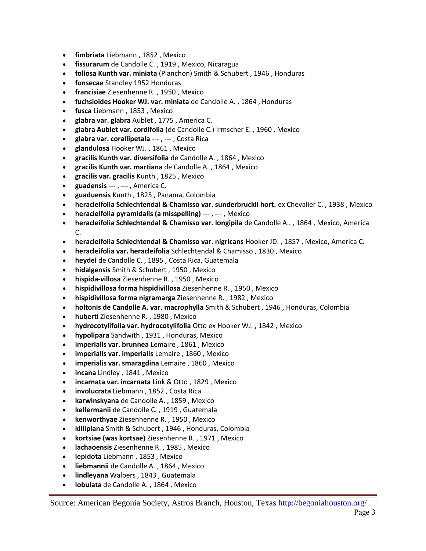- **fimbriata** Liebmann , 1852 , Mexico
- **fissurarum** de Candolle C. , 1919 , Mexico, Nicaragua
- **foliosa Kunth var. miniata** (Planchon) Smith & Schubert , 1946 , Honduras
- **fonsecae** Standley 1952 Honduras
- **francisiae** Ziesenhenne R. , 1950 , Mexico
- **fuchsioides Hooker WJ. var. miniata** de Candolle A. , 1864 , Honduras
- **fusca** Liebmann , 1853 , Mexico
- **glabra var. glabra** Aublet , 1775 , America C.
- **glabra Aublet var. cordifolia** (de Candolle C.) Irmscher E. , 1960 , Mexico
- **glabra var. corallipetala** --- , --- , Costa Rica
- **glandulosa** Hooker WJ. , 1861 , Mexico
- **gracilis Kunth var. diversifolia** de Candolle A. , 1864 , Mexico
- **gracilis Kunth var. martiana** de Candolle A. , 1864 , Mexico
- **gracilis var. gracilis** Kunth , 1825 , Mexico
- **guadensis** --- , --- , America C.
- **guaduensis** Kunth , 1825 , Panama, Colombia
- **heracleifolia Schlechtendal & Chamisso var. sunderbruckii hort.** ex Chevalier C. , 1938 , Mexico
- **heracleifolia pyramidalis (a misspelling)** --- , --- , Mexico
- **heracleifolia Schlechtendal & Chamisso var. longipila** de Candolle A.. , 1864 , Mexico, America C.
- **heracleifolia Schlechtendal & Chamisso var. nigricans** Hooker JD. , 1857 , Mexico, America C.
- **heracleifolia var. heracleifolia** Schlechtendal & Chamisso , 1830 , Mexico
- **heydei** de Candolle C. , 1895 , Costa Rica, Guatemala
- **hidalgensis** Smith & Schubert , 1950 , Mexico
- **hispida-villosa** Ziesenhenne R. , 1950 , Mexico
- **hispidivillosa forma hispidivillosa** Ziesenhenne R. , 1950 , Mexico
- **hispidivillosa forma nigramarga** Ziesenhenne R. , 1982 , Mexico
- **holtonis de Candolle A. var. macrophylla** Smith & Schubert , 1946 , Honduras, Colombia
- **huberti** Ziesenhenne R. , 1980 , Mexico
- **hydrocotylifolia var. hydrocotylifolia** Otto ex Hooker WJ. , 1842 , Mexico
- **hypolipara** Sandwith , 1931 , Honduras, Mexico
- **imperialis var. brunnea** Lemaire , 1861 , Mexico
- **imperialis var. imperialis** Lemaire , 1860 , Mexico
- **imperialis var. smaragdina** Lemaire , 1860 , Mexico
- **incana** Lindley , 1841 , Mexico
- **incarnata var. incarnata** Link & Otto , 1829 , Mexico
- **involucrata** Liebmann , 1852 , Costa Rica
- **karwinskyana** de Candolle A. , 1859 , Mexico
- **kellermanii** de Candolle C. , 1919 , Guatemala
- **kenworthyae** Ziesenhenne R. , 1950 , Mexico
- **killipiana** Smith & Schubert , 1946 , Honduras, Colombia
- **kortsiae (was kortsae)** Ziesenhenne R. , 1971 , Mexico
- **lachaoensis** Ziesenhenne R. , 1985 , Mexico
- **lepidota** Liebmann , 1853 , Mexico
- **liebmannii** de Candolle A. , 1864 , Mexico
- **lindleyana** Walpers , 1843 , Guatemala
- **lobulata** de Candolle A. , 1864 , Mexico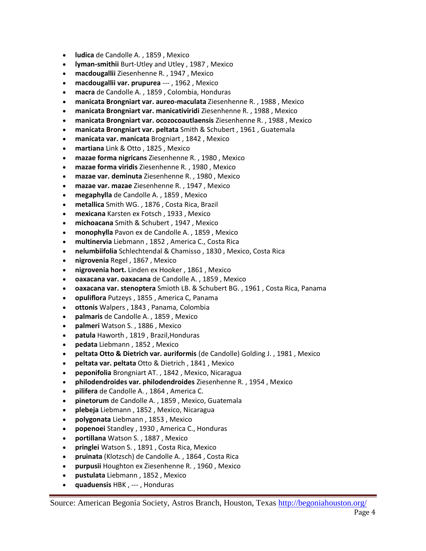- **ludica** de Candolle A. , 1859 , Mexico
- **lyman-smithii** Burt-Utley and Utley , 1987 , Mexico
- **macdougallii** Ziesenhenne R. , 1947 , Mexico
- **macdougallii var. prupurea** --- , 1962 , Mexico
- **macra** de Candolle A. , 1859 , Colombia, Honduras
- **manicata Brongniart var. aureo-maculata** Ziesenhenne R. , 1988 , Mexico
- **manicata Brongniart var. manicativiridi** Ziesenhenne R. , 1988 , Mexico
- **manicata Brongniart var. ocozocoautlaensis** Ziesenhenne R. , 1988 , Mexico
- **manicata Brongniart var. peltata** Smith & Schubert , 1961 , Guatemala
- **manicata var. manicata** Brogniart , 1842 , Mexico
- **martiana** Link & Otto , 1825 , Mexico
- **mazae forma nigricans** Ziesenhenne R. , 1980 , Mexico
- **mazae forma viridis** Ziesenhenne R. , 1980 , Mexico
- **mazae var. deminuta** Ziesenhenne R. , 1980 , Mexico
- **mazae var. mazae** Ziesenhenne R. , 1947 , Mexico
- **megaphylla** de Candolle A. , 1859 , Mexico
- **metallica** Smith WG. , 1876 , Costa Rica, Brazil
- **mexicana** Karsten ex Fotsch , 1933 , Mexico
- **michoacana** Smith & Schubert , 1947 , Mexico
- **monophylla** Pavon ex de Candolle A. , 1859 , Mexico
- **multinervia** Liebmann , 1852 , America C., Costa Rica
- **nelumbiifolia** Schlechtendal & Chamisso , 1830 , Mexico, Costa Rica
- **nigrovenia** Regel , 1867 , Mexico
- **nigrovenia hort.** Linden ex Hooker , 1861 , Mexico
- **oaxacana var. oaxacana** de Candolle A. , 1859 , Mexico
- **oaxacana var. stenoptera** Smioth LB. & Schubert BG. , 1961 , Costa Rica, Panama
- **opuliflora** Putzeys , 1855 , America C, Panama
- **ottonis** Walpers , 1843 , Panama, Colombia
- **palmaris** de Candolle A. , 1859 , Mexico
- **palmeri** Watson S. , 1886 , Mexico
- **patula** Haworth , 1819 , Brazil,Honduras
- **pedata** Liebmann , 1852 , Mexico
- **peltata Otto & Dietrich var. auriformis** (de Candolle) Golding J. , 1981 , Mexico
- **peltata var. peltata** Otto & Dietrich , 1841 , Mexico
- **peponifolia** Brongniart AT. , 1842 , Mexico, Nicaragua
- **philodendroides var. philodendroides** Ziesenhenne R. , 1954 , Mexico
- **pilifera** de Candolle A. , 1864 , America C.
- **pinetorum** de Candolle A. , 1859 , Mexico, Guatemala
- **plebeja** Liebmann , 1852 , Mexico, Nicaragua
- **polygonata** Liebmann , 1853 , Mexico
- **popenoei** Standley , 1930 , America C., Honduras
- **portillana** Watson S. , 1887 , Mexico
- **pringlei** Watson S. , 1891 , Costa Rica, Mexico
- **pruinata** (Klotzsch) de Candolle A. , 1864 , Costa Rica
- **purpusii** Houghton ex Ziesenhenne R. , 1960 , Mexico
- **pustulata** Liebmann , 1852 , Mexico
- **quaduensis** HBK , --- , Honduras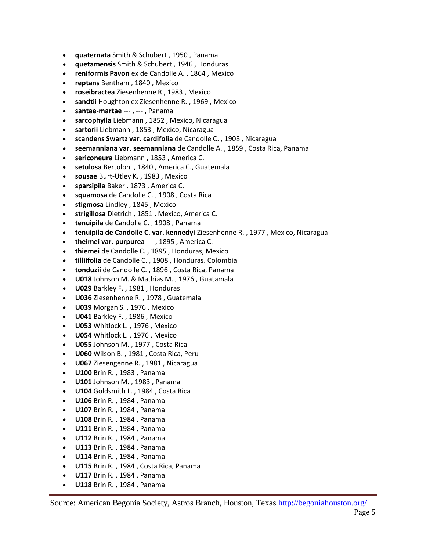- **quaternata** Smith & Schubert , 1950 , Panama
- **quetamensis** Smith & Schubert , 1946 , Honduras
- **reniformis Pavon** ex de Candolle A. , 1864 , Mexico
- **reptans** Bentham , 1840 , Mexico
- **roseibractea** Ziesenhenne R , 1983 , Mexico
- **sandtii** Houghton ex Ziesenhenne R. , 1969 , Mexico
- **santae-martae** --- , --- , Panama
- **sarcophylla** Liebmann , 1852 , Mexico, Nicaragua
- **sartorii** Liebmann , 1853 , Mexico, Nicaragua
- **scandens Swartz var. cardifolia** de Candolle C. , 1908 , Nicaragua
- **seemanniana var. seemanniana** de Candolle A. , 1859 , Costa Rica, Panama
- **sericoneura** Liebmann , 1853 , America C.
- **setulosa** Bertoloni , 1840 , America C., Guatemala
- **sousae** Burt-Utley K. , 1983 , Mexico
- **sparsipila** Baker , 1873 , America C.
- **squamosa** de Candolle C. , 1908 , Costa Rica
- **stigmosa** Lindley , 1845 , Mexico
- **strigillosa** Dietrich , 1851 , Mexico, America C.
- **tenuipila** de Candolle C. , 1908 , Panama
- **tenuipila de Candolle C. var. kennedyi** Ziesenhenne R. , 1977 , Mexico, Nicaragua
- **theimei var. purpurea** --- , 1895 , America C.
- **thiemei** de Candolle C. , 1895 , Honduras, Mexico
- **tilliifolia** de Candolle C. , 1908 , Honduras. Colombia
- **tonduzii** de Candolle C. , 1896 , Costa Rica, Panama
- **U018** Johnson M. & Mathias M. , 1976 , Guatamala
- **U029** Barkley F. , 1981 , Honduras
- **U036** Ziesenhenne R. , 1978 , Guatemala
- **U039** Morgan S. , 1976 , Mexico
- **U041** Barkley F. , 1986 , Mexico
- **U053** Whitlock L. , 1976 , Mexico
- **U054** Whitlock L. , 1976 , Mexico
- **U055** Johnson M. , 1977 , Costa Rica
- **U060** Wilson B. , 1981 , Costa Rica, Peru
- **U067** Ziesengenne R. , 1981 , Nicaragua
- **U100** Brin R. , 1983 , Panama
- **U101** Johnson M. , 1983 , Panama
- **U104** Goldsmith L. , 1984 , Costa Rica
- **U106** Brin R. , 1984 , Panama
- **U107** Brin R. , 1984 , Panama
- **U108** Brin R. , 1984 , Panama
- **U111** Brin R. , 1984 , Panama
- **U112** Brin R. , 1984 , Panama
- **U113** Brin R. , 1984 , Panama
- **U114** Brin R. , 1984 , Panama
- **U115** Brin R. , 1984 , Costa Rica, Panama
- **U117** Brin R. , 1984 , Panama
- **U118** Brin R. , 1984 , Panama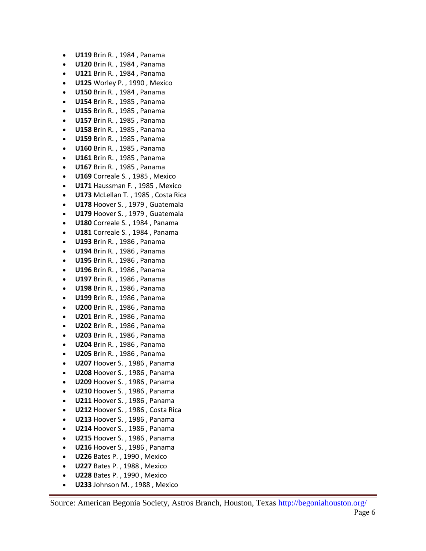- **U119** Brin R. , 1984 , Panama
- **U120** Brin R. , 1984 , Panama
- **U121** Brin R. , 1984 , Panama
- **U125** Worley P. , 1990 , Mexico
- **U150** Brin R. , 1984 , Panama
- **U154** Brin R. , 1985 , Panama
- **U155** Brin R. , 1985 , Panama
- **U157** Brin R. , 1985 , Panama
- **U158** Brin R. , 1985 , Panama
- **U159** Brin R. , 1985 , Panama
- **U160** Brin R. , 1985 , Panama
- **U161** Brin R. , 1985 , Panama
- **U167** Brin R. , 1985 , Panama
- **U169** Correale S. , 1985 , Mexico
- **U171** Haussman F. , 1985 , Mexico
- **U173** McLellan T. , 1985 , Costa Rica
- **U178** Hoover S. , 1979 , Guatemala
- **U179** Hoover S. , 1979 , Guatemala
- **U180** Correale S. , 1984 , Panama
- **U181** Correale S. , 1984 , Panama
- **U193** Brin R. , 1986 , Panama
- **U194** Brin R. , 1986 , Panama
- **U195** Brin R. , 1986 , Panama
- **U196** Brin R. , 1986 , Panama
- **U197** Brin R. , 1986 , Panama
- **U198** Brin R. , 1986 , Panama
- **U199** Brin R. , 1986 , Panama
- **U200** Brin R. , 1986 , Panama
- **U201** Brin R. , 1986 , Panama
- **U202** Brin R. , 1986 , Panama
- **U203** Brin R. , 1986 , Panama
- **U204** Brin R. , 1986 , Panama
- **U205** Brin R. , 1986 , Panama
- **U207** Hoover S. , 1986 , Panama
- **U208** Hoover S. , 1986 , Panama
- **U209** Hoover S. , 1986 , Panama
- **U210** Hoover S. , 1986 , Panama
- **U211** Hoover S. , 1986 , Panama
- **U212** Hoover S. , 1986 , Costa Rica
- **U213** Hoover S. , 1986 , Panama
- **U214** Hoover S. , 1986 , Panama
- **U215** Hoover S. , 1986 , Panama
- **U216** Hoover S. , 1986 , Panama
- **U226** Bates P. , 1990 , Mexico
- **U227** Bates P. , 1988 , Mexico
- **U228** Bates P. , 1990 , Mexico
- **U233** Johnson M. , 1988 , Mexico